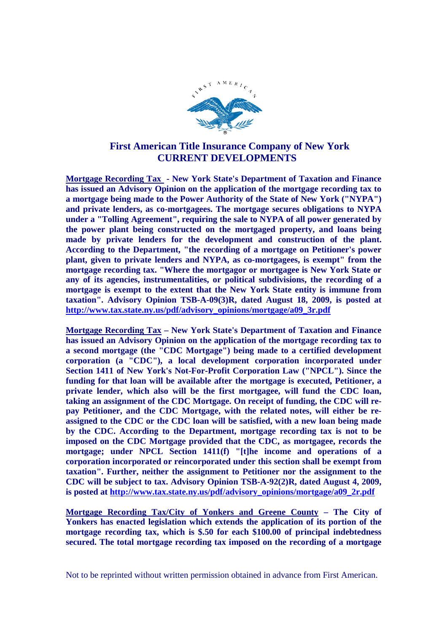

## **First American Title Insurance Company of New York CURRENT DEVELOPMENTS**

**Mortgage Recording Tax - New York State's Department of Taxation and Finance has issued an Advisory Opinion on the application of the mortgage recording tax to a mortgage being made to the Power Authority of the State of New York ("NYPA") and private lenders, as co-mortgagees. The mortgage secures obligations to NYPA under a "Tolling Agreement", requiring the sale to NYPA of all power generated by the power plant being constructed on the mortgaged property, and loans being made by private lenders for the development and construction of the plant. According to the Department, "the recording of a mortgage on Petitioner's power plant, given to private lenders and NYPA, as co-mortgagees, is exempt" from the mortgage recording tax. "Where the mortgagor or mortgagee is New York State or any of its agencies, instrumentalities, or political subdivisions, the recording of a mortgage is exempt to the extent that the New York State entity is immune from taxation". Advisory Opinion TSB-A-09(3)R, dated August 18, 2009, is posted at http://www.tax.state.ny.us/pdf/advisory\_opinions/mortgage/a09\_3r.pdf**

**Mortgage Recording Tax – New York State's Department of Taxation and Finance has issued an Advisory Opinion on the application of the mortgage recording tax to a second mortgage (the "CDC Mortgage") being made to a certified development corporation (a "CDC"), a local development corporation incorporated under Section 1411 of New York's Not-For-Profit Corporation Law ("NPCL"). Since the funding for that loan will be available after the mortgage is executed, Petitioner, a private lender, which also will be the first mortgagee, will fund the CDC loan, taking an assignment of the CDC Mortgage. On receipt of funding, the CDC will repay Petitioner, and the CDC Mortgage, with the related notes, will either be reassigned to the CDC or the CDC loan will be satisfied, with a new loan being made by the CDC. According to the Department, mortgage recording tax is not to be imposed on the CDC Mortgage provided that the CDC, as mortgagee, records the mortgage; under NPCL Section 1411(f) "[t]he income and operations of a corporation incorporated or reincorporated under this section shall be exempt from taxation". Further, neither the assignment to Petitioner nor the assignment to the CDC will be subject to tax. Advisory Opinion TSB-A-92(2)R, dated August 4, 2009, is posted at http://www.tax.state.ny.us/pdf/advisory\_opinions/mortgage/a09\_2r.pdf**

**Mortgage Recording Tax/City of Yonkers and Greene County – The City of Yonkers has enacted legislation which extends the application of its portion of the mortgage recording tax, which is \$.50 for each \$100.00 of principal indebtedness secured. The total mortgage recording tax imposed on the recording of a mortgage**

Not to be reprinted without written permission obtained in advance from First American.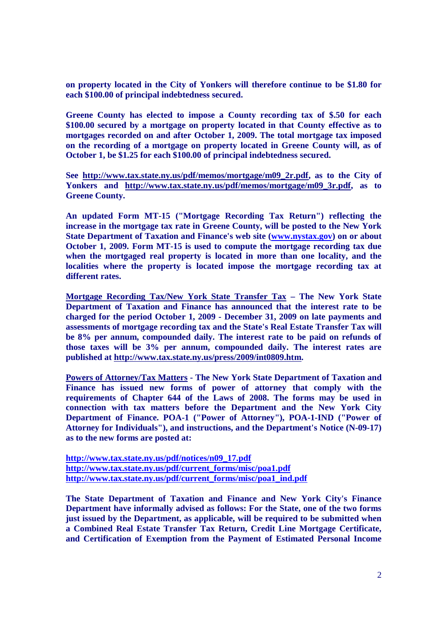**on property located in the City of Yonkers will therefore continue to be \$1.80 for each \$100.00 of principal indebtedness secured.**

**Greene County has elected to impose a County recording tax of \$.50 for each \$100.00 secured by a mortgage on property located in that County effective as to mortgages recorded on and after October 1, 2009. The total mortgage tax imposed on the recording of a mortgage on property located in Greene County will, as of October 1, be \$1.25 for each \$100.00 of principal indebtedness secured.**

**See http://www.tax.state.ny.us/pdf/memos/mortgage/m09\_2r.pdf, as to the City of Yonkers and http://www.tax.state.ny.us/pdf/memos/mortgage/m09\_3r.pdf, as to Greene County.**

**An updated Form MT-15 ("Mortgage Recording Tax Return") reflecting the increase in the mortgage tax rate in Greene County, will be posted to the New York State Department of Taxation and Finance's web site (www.nystax.gov) on or about October 1, 2009. Form MT-15 is used to compute the mortgage recording tax due when the mortgaged real property is located in more than one locality, and the localities where the property is located impose the mortgage recording tax at different rates.**

**Mortgage Recording Tax/New York State Transfer Tax – The New York State Department of Taxation and Finance has announced that the interest rate to be charged for the period October 1, 2009 - December 31, 2009 on late payments and assessments of mortgage recording tax and the State's Real Estate Transfer Tax will be 8% per annum, compounded daily. The interest rate to be paid on refunds of those taxes will be 3% per annum, compounded daily. The interest rates are published at http://www.tax.state.ny.us/press/2009/int0809.htm.**

**Powers of Attorney/Tax Matters - The New York State Department of Taxation and Finance has issued new forms of power of attorney that comply with the requirements of Chapter 644 of the Laws of 2008. The forms may be used in connection with tax matters before the Department and the New York City Department of Finance. POA-1 ("Power of Attorney"), POA-1-IND ("Power of Attorney for Individuals"), and instructions, and the Department's Notice (N-09-17) as to the new forms are posted at:**

**http://www.tax.state.ny.us/pdf/notices/n09\_17.pdf http://www.tax.state.ny.us/pdf/current\_forms/misc/poa1.pdf http://www.tax.state.ny.us/pdf/current\_forms/misc/poa1\_ind.pdf**

**The State Department of Taxation and Finance and New York City's Finance Department have informally advised as follows: For the State, one of the two forms just issued by the Department, as applicable, will be required to be submitted when a Combined Real Estate Transfer Tax Return, Credit Line Mortgage Certificate, and Certification of Exemption from the Payment of Estimated Personal Income**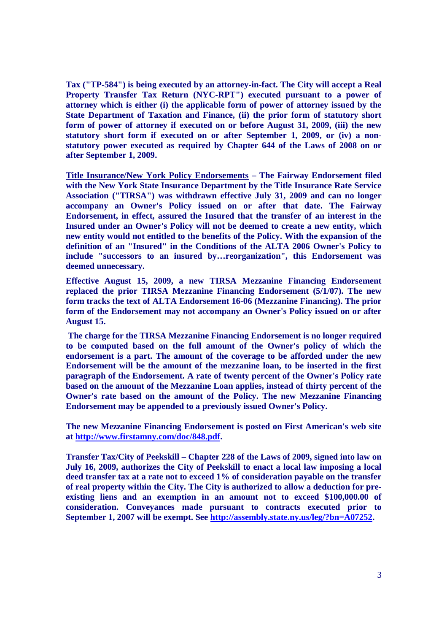**Tax ("TP-584") is being executed by an attorney-in-fact. The City will accept a Real Property Transfer Tax Return (NYC-RPT") executed pursuant to a power of attorney which is either (i) the applicable form of power of attorney issued by the State Department of Taxation and Finance, (ii) the prior form of statutory short form of power of attorney if executed on or before August 31, 2009, (iii) the new statutory short form if executed on or after September 1, 2009, or (iv) a nonstatutory power executed as required by Chapter 644 of the Laws of 2008 on or after September 1, 2009.**

**Title Insurance/New York Policy Endorsements – The Fairway Endorsement filed with the New York State Insurance Department by the Title Insurance Rate Service Association ("TIRSA") was withdrawn effective July 31, 2009 and can no longer accompany an Owner's Policy issued on or after that date. The Fairway Endorsement, in effect, assured the Insured that the transfer of an interest in the Insured under an Owner's Policy will not be deemed to create a new entity, which new entity would not entitled to the benefits of the Policy. With the expansion of the definition of an "Insured" in the Conditions of the ALTA 2006 Owner's Policy to include "successors to an insured by…reorganization", this Endorsement was deemed unnecessary.**

**Effective August 15, 2009, a new TIRSA Mezzanine Financing Endorsement replaced the prior TIRSA Mezzanine Financing Endorsement (5/1/07). The new form tracks the text of ALTA Endorsement 16-06 (Mezzanine Financing). The prior form of the Endorsement may not accompany an Owner's Policy issued on or after August 15.**

**The charge for the TIRSA Mezzanine Financing Endorsement is no longer required to be computed based on the full amount of the Owner's policy of which the endorsement is a part. The amount of the coverage to be afforded under the new Endorsement will be the amount of the mezzanine loan, to be inserted in the first paragraph of the Endorsement. A rate of twenty percent of the Owner's Policy rate based on the amount of the Mezzanine Loan applies, instead of thirty percent of the Owner's rate based on the amount of the Policy. The new Mezzanine Financing Endorsement may be appended to a previously issued Owner's Policy.**

**The new Mezzanine Financing Endorsement is posted on First American's web site at http://www.firstamny.com/doc/848.pdf.**

**Transfer Tax/City of Peekskill – Chapter 228 of the Laws of 2009, signed into law on July 16, 2009, authorizes the City of Peekskill to enact a local law imposing a local deed transfer tax at a rate not to exceed 1% of consideration payable on the transfer of real property within the City. The City is authorized to allow a deduction for preexisting liens and an exemption in an amount not to exceed \$100,000.00 of consideration. Conveyances made pursuant to contracts executed prior to September 1, 2007 will be exempt. See http://assembly.state.ny.us/leg/?bn=A07252.**